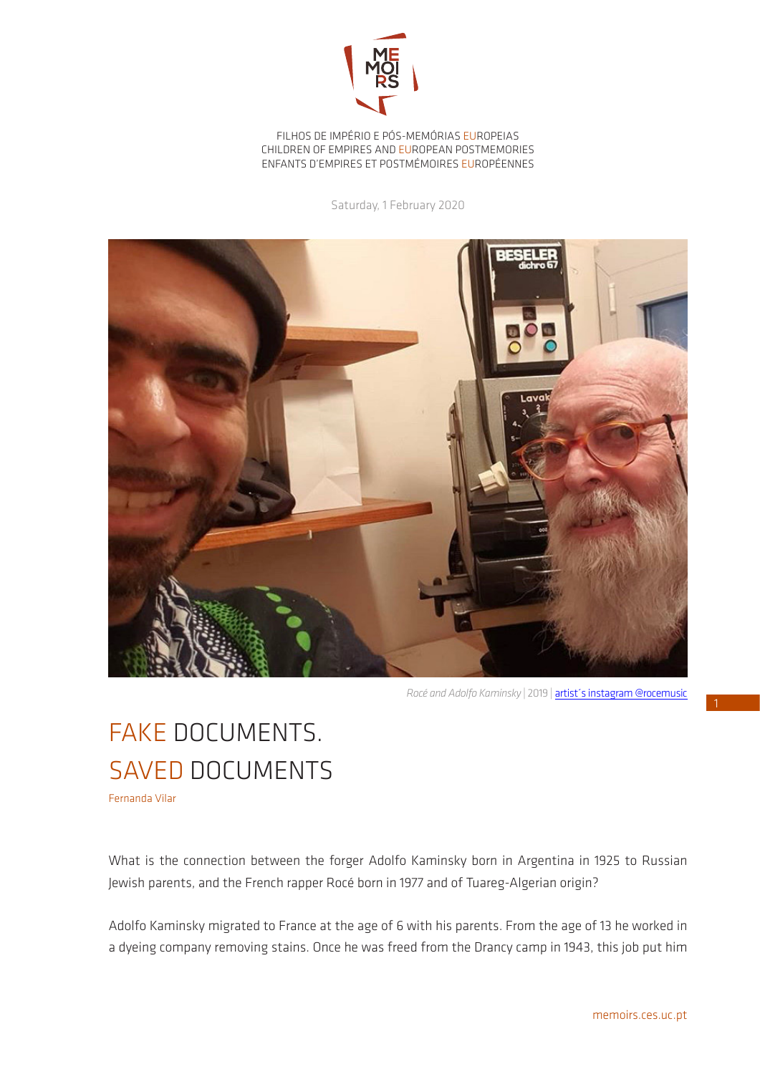

FILHOS DE IMPÉRIO E PÓS-MEMÓRIAS EUROPEIAS CHILDREN OF EMPIRES AND EUROPEAN POSTMEMORIES ENFANTS D'EMPIRES ET POSTMÉMOIRES EUROPÉENNES

Saturday, 1 February 2020



*Rocé and Adolfo Kaminsky* | 2019 | [artist´s instagram @rocemusic](https://www.instagram.com/rocemusic/?hl=pt)

## FAKE DOCUMENTS. SAVED DOCUMENTS

Fernanda Vilar

What is the connection between the forger Adolfo Kaminsky born in Argentina in 1925 to Russian Jewish parents, and the French rapper Rocé born in 1977 and of Tuareg-Algerian origin?

Adolfo Kaminsky migrated to France at the age of 6 with his parents. From the age of 13 he worked in a dyeing company removing stains. Once he was freed from the Drancy camp in 1943, this job put him 1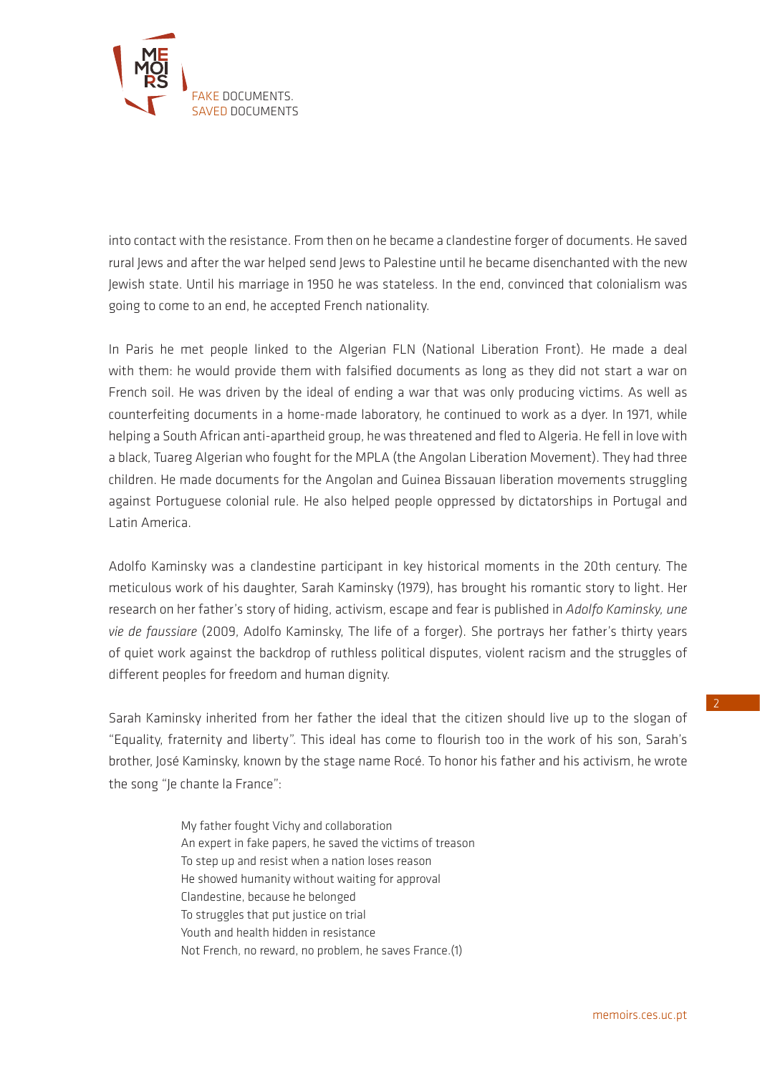

into contact with the resistance. From then on he became a clandestine forger of documents. He saved rural lews and after the war helped send lews to Palestine until he became disenchanted with the new Jewish state. Until his marriage in 1950 he was stateless. In the end, convinced that colonialism was going to come to an end, he accepted French nationality.

In Paris he met people linked to the Algerian FLN (National Liberation Front). He made a deal with them: he would provide them with falsified documents as long as they did not start a war on French soil. He was driven by the ideal of ending a war that was only producing victims. As well as counterfeiting documents in a home-made laboratory, he continued to work as a dyer. In 1971, while helping a South African anti-apartheid group, he was threatened and fled to Algeria. He fell in love with a black, Tuareg Algerian who fought for the MPLA (the Angolan Liberation Movement). They had three children. He made documents for the Angolan and Guinea Bissauan liberation movements struggling against Portuguese colonial rule. He also helped people oppressed by dictatorships in Portugal and Latin America.

Adolfo Kaminsky was a clandestine participant in key historical moments in the 20th century. The meticulous work of his daughter, Sarah Kaminsky (1979), has brought his romantic story to light. Her research on her father's story of hiding, activism, escape and fear is published in *Adolfo Kaminsky, une vie de faussiare* (2009, Adolfo Kaminsky, The life of a forger). She portrays her father's thirty years of quiet work against the backdrop of ruthless political disputes, violent racism and the struggles of different peoples for freedom and human dignity.

Sarah Kaminsky inherited from her father the ideal that the citizen should live up to the slogan of "Equality, fraternity and liberty". This ideal has come to flourish too in the work of his son, Sarah's brother, José Kaminsky, known by the stage name Rocé. To honor his father and his activism, he wrote the song "Je chante la France":

> My father fought Vichy and collaboration An expert in fake papers, he saved the victims of treason To step up and resist when a nation loses reason He showed humanity without waiting for approval Clandestine, because he belonged To struggles that put justice on trial Youth and health hidden in resistance Not French, no reward, no problem, he saves France.(1)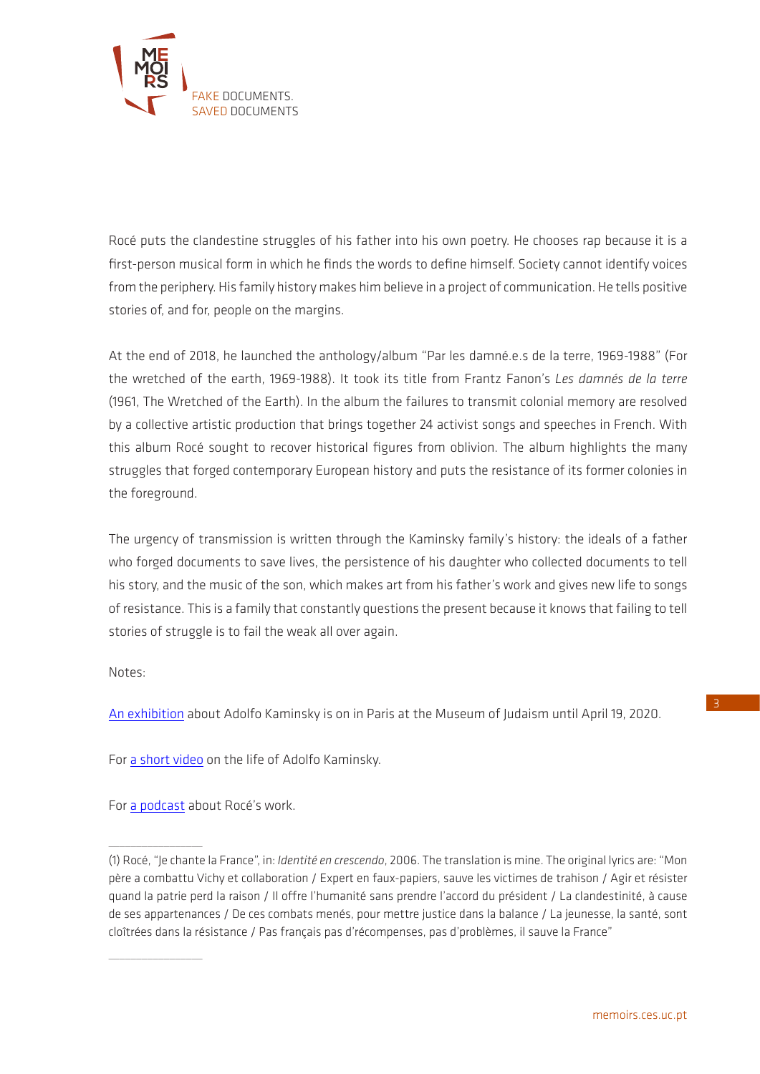

Rocé puts the clandestine struggles of his father into his own poetry. He chooses rap because it is a first-person musical form in which he finds the words to define himself. Society cannot identify voices from the periphery. His family history makes him believe in a project of communication. He tells positive stories of, and for, people on the margins.

At the end of 2018, he launched the anthology/album "Par les damné.e.s de la terre, 1969-1988" (For the wretched of the earth, 1969-1988). It took its title from Frantz Fanon's *Les damnés de la terre* (1961, The Wretched of the Earth). In the album the failures to transmit colonial memory are resolved by a collective artistic production that brings together 24 activist songs and speeches in French. With this album Rocé sought to recover historical figures from oblivion. The album highlights the many struggles that forged contemporary European history and puts the resistance of its former colonies in the foreground.

The urgency of transmission is written through the Kaminsky family's history: the ideals of a father who forged documents to save lives, the persistence of his daughter who collected documents to tell his story, and the music of the son, which makes art from his father's work and gives new life to songs of resistance. This is a family that constantly questions the present because it knows that failing to tell stories of struggle is to fail the weak all over again.

Notes:

[An exhibition](https://www.mahj.org/fr/programme/adolfo-kaminsky-faussaire-et-photographe-74790) about Adolfo Kaminsky is on in Paris at the Museum of Judaism until April 19, 2020.

For [a short video](https://youtu.be/Dup6KOoaAUc) on the life of Adolfo Kaminsky.

For [a podcast](https://www.franceculture.fr/emissions/par-les-temps-qui-courent/roce) about Rocé's work.

 $\overline{\phantom{a}}$  , where  $\overline{\phantom{a}}$ 

 $\frac{1}{2}$  ,  $\frac{1}{2}$  ,  $\frac{1}{2}$  ,  $\frac{1}{2}$  ,  $\frac{1}{2}$  ,  $\frac{1}{2}$  ,  $\frac{1}{2}$ 

<sup>(1)</sup> Rocé, "Je chante la France", in: *Identité en crescendo*, 2006. The translation is mine. The original lyrics are: "Mon père a combattu Vichy et collaboration / Expert en faux-papiers, sauve les victimes de trahison / Agir et résister quand la patrie perd la raison / Il offre l'humanité sans prendre l'accord du président / La clandestinité, à cause de ses appartenances / De ces combats menés, pour mettre justice dans la balance / La jeunesse, la santé, sont cloîtrées dans la résistance / Pas français pas d'récompenses, pas d'problèmes, il sauve la France"